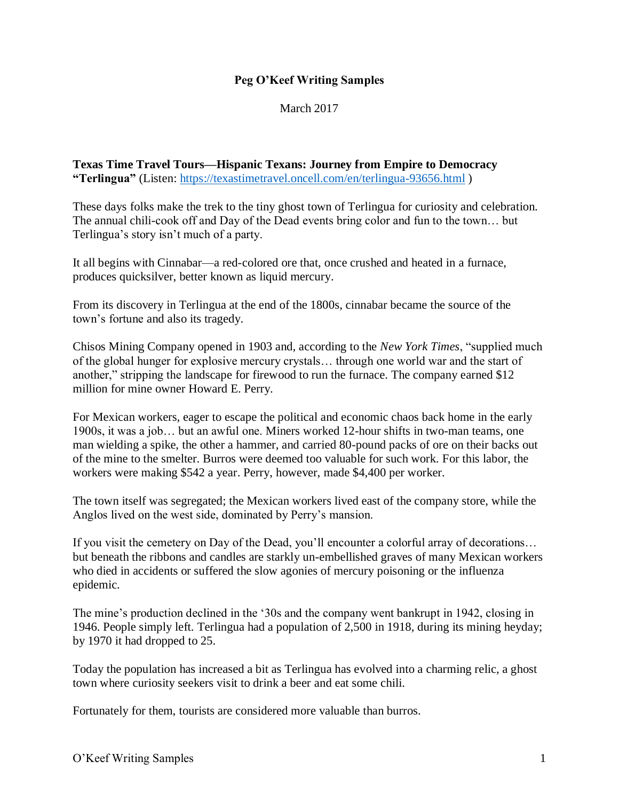### **Peg O'Keef Writing Samples**

March 2017

**Texas Time Travel Tours—Hispanic Texans: Journey from Empire to Democracy "Terlingua"** (Listen:<https://texastimetravel.oncell.com/en/terlingua-93656.html> )

These days folks make the trek to the tiny ghost town of Terlingua for curiosity and celebration. The annual chili-cook off and Day of the Dead events bring color and fun to the town… but Terlingua's story isn't much of a party.

It all begins with Cinnabar—a red-colored ore that, once crushed and heated in a furnace, produces quicksilver, better known as liquid mercury.

From its discovery in Terlingua at the end of the 1800s, cinnabar became the source of the town's fortune and also its tragedy.

Chisos Mining Company opened in 1903 and, according to the *New York Times*, "supplied much of the global hunger for explosive mercury crystals… through one world war and the start of another," stripping the landscape for firewood to run the furnace. The company earned \$12 million for mine owner Howard E. Perry.

For Mexican workers, eager to escape the political and economic chaos back home in the early 1900s, it was a job… but an awful one. Miners worked 12-hour shifts in two-man teams, one man wielding a spike, the other a hammer, and carried 80-pound packs of ore on their backs out of the mine to the smelter. Burros were deemed too valuable for such work. For this labor, the workers were making \$542 a year. Perry, however, made \$4,400 per worker.

The town itself was segregated; the Mexican workers lived east of the company store, while the Anglos lived on the west side, dominated by Perry's mansion.

If you visit the cemetery on Day of the Dead, you'll encounter a colorful array of decorations… but beneath the ribbons and candles are starkly un-embellished graves of many Mexican workers who died in accidents or suffered the slow agonies of mercury poisoning or the influenza epidemic.

The mine's production declined in the '30s and the company went bankrupt in 1942, closing in 1946. People simply left. Terlingua had a population of 2,500 in 1918, during its mining heyday; by 1970 it had dropped to 25.

Today the population has increased a bit as Terlingua has evolved into a charming relic, a ghost town where curiosity seekers visit to drink a beer and eat some chili.

Fortunately for them, tourists are considered more valuable than burros.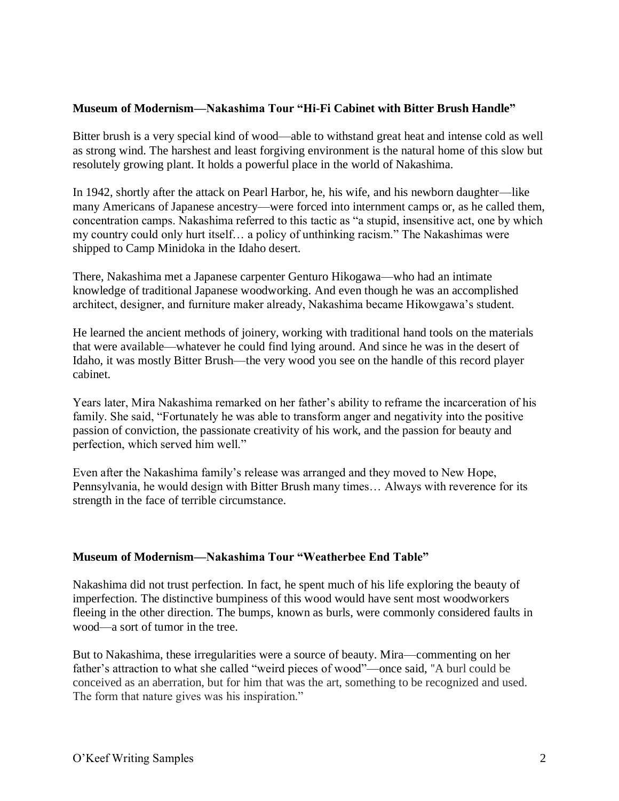#### **Museum of Modernism—Nakashima Tour "Hi-Fi Cabinet with Bitter Brush Handle"**

Bitter brush is a very special kind of wood—able to withstand great heat and intense cold as well as strong wind. The harshest and least forgiving environment is the natural home of this slow but resolutely growing plant. It holds a powerful place in the world of Nakashima.

In 1942, shortly after the attack on Pearl Harbor, he, his wife, and his newborn daughter—like many Americans of Japanese ancestry—were forced into internment camps or, as he called them, concentration camps. Nakashima referred to this tactic as "a stupid, insensitive act, one by which my country could only hurt itself… a policy of unthinking racism." The Nakashimas were shipped to Camp Minidoka in the Idaho desert.

There, Nakashima met a Japanese carpenter Genturo Hikogawa—who had an intimate knowledge of traditional Japanese woodworking. And even though he was an accomplished architect, designer, and furniture maker already, Nakashima became Hikowgawa's student.

He learned the ancient methods of joinery, working with traditional hand tools on the materials that were available—whatever he could find lying around. And since he was in the desert of Idaho, it was mostly Bitter Brush—the very wood you see on the handle of this record player cabinet.

Years later, Mira Nakashima remarked on her father's ability to reframe the incarceration of his family. She said, "Fortunately he was able to transform anger and negativity into the positive passion of conviction, the passionate creativity of his work, and the passion for beauty and perfection, which served him well."

Even after the Nakashima family's release was arranged and they moved to New Hope, Pennsylvania, he would design with Bitter Brush many times… Always with reverence for its strength in the face of terrible circumstance.

## **Museum of Modernism—Nakashima Tour "Weatherbee End Table"**

Nakashima did not trust perfection. In fact, he spent much of his life exploring the beauty of imperfection. The distinctive bumpiness of this wood would have sent most woodworkers fleeing in the other direction. The bumps, known as burls, were commonly considered faults in wood—a sort of tumor in the tree.

But to Nakashima, these irregularities were a source of beauty. Mira—commenting on her father's attraction to what she called "weird pieces of wood"—once said, ''A burl could be conceived as an aberration, but for him that was the art, something to be recognized and used. The form that nature gives was his inspiration."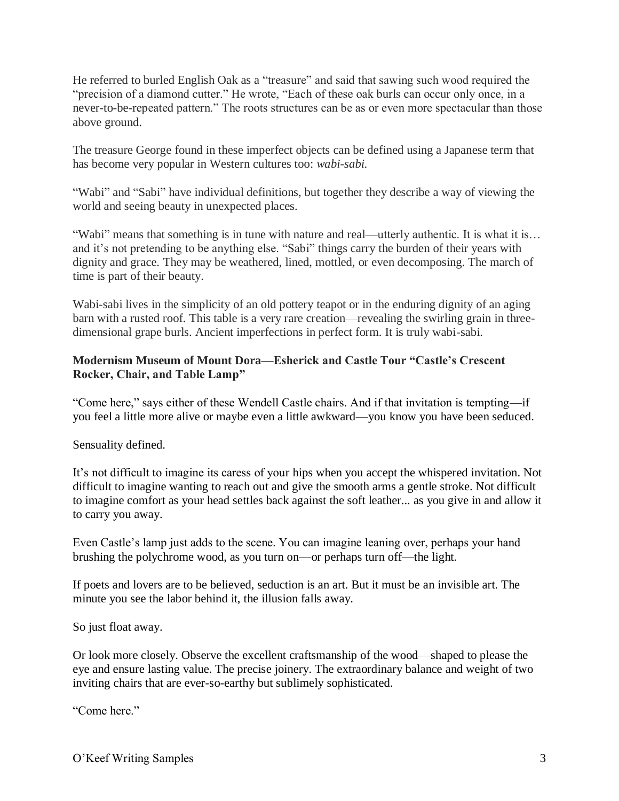He referred to burled English Oak as a "treasure" and said that sawing such wood required the "precision of a diamond cutter." He wrote, "Each of these oak burls can occur only once, in a never-to-be-repeated pattern." The roots structures can be as or even more spectacular than those above ground.

The treasure George found in these imperfect objects can be defined using a Japanese term that has become very popular in Western cultures too: *wabi-sabi.*

"Wabi" and "Sabi" have individual definitions, but together they describe a way of viewing the world and seeing beauty in unexpected places.

"Wabi" means that something is in tune with nature and real—utterly authentic. It is what it is… and it's not pretending to be anything else. "Sabi" things carry the burden of their years with dignity and grace. They may be weathered, lined, mottled, or even decomposing. The march of time is part of their beauty.

Wabi-sabi lives in the simplicity of an old pottery teapot or in the enduring dignity of an aging barn with a rusted roof. This table is a very rare creation—revealing the swirling grain in threedimensional grape burls. Ancient imperfections in perfect form. It is truly wabi-sabi.

# **Modernism Museum of Mount Dora—Esherick and Castle Tour "Castle's Crescent Rocker, Chair, and Table Lamp"**

"Come here," says either of these Wendell Castle chairs. And if that invitation is tempting—if you feel a little more alive or maybe even a little awkward—you know you have been seduced.

Sensuality defined.

It's not difficult to imagine its caress of your hips when you accept the whispered invitation. Not difficult to imagine wanting to reach out and give the smooth arms a gentle stroke. Not difficult to imagine comfort as your head settles back against the soft leather... as you give in and allow it to carry you away.

Even Castle's lamp just adds to the scene. You can imagine leaning over, perhaps your hand brushing the polychrome wood, as you turn on—or perhaps turn off—the light.

If poets and lovers are to be believed, seduction is an art. But it must be an invisible art. The minute you see the labor behind it, the illusion falls away.

So just float away.

Or look more closely. Observe the excellent craftsmanship of the wood—shaped to please the eye and ensure lasting value. The precise joinery. The extraordinary balance and weight of two inviting chairs that are ever-so-earthy but sublimely sophisticated.

"Come here."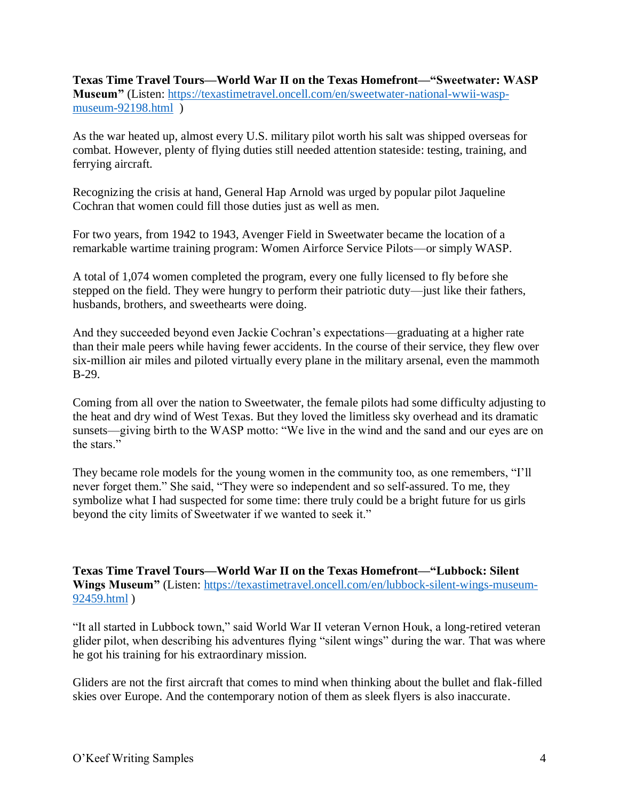**Texas Time Travel Tours—World War II on the Texas Homefront—"Sweetwater: WASP Museum"** (Listen: [https://texastimetravel.oncell.com/en/sweetwater-national-wwii-wasp](https://texastimetravel.oncell.com/en/sweetwater-national-wwii-wasp-museum-92198.html)[museum-92198.html](https://texastimetravel.oncell.com/en/sweetwater-national-wwii-wasp-museum-92198.html) )

As the war heated up, almost every U.S. military pilot worth his salt was shipped overseas for combat. However, plenty of flying duties still needed attention stateside: testing, training, and ferrying aircraft.

Recognizing the crisis at hand, General Hap Arnold was urged by popular pilot Jaqueline Cochran that women could fill those duties just as well as men.

For two years, from 1942 to 1943, Avenger Field in Sweetwater became the location of a remarkable wartime training program: Women Airforce Service Pilots—or simply WASP.

A total of 1,074 women completed the program, every one fully licensed to fly before she stepped on the field. They were hungry to perform their patriotic duty—just like their fathers, husbands, brothers, and sweethearts were doing.

And they succeeded beyond even Jackie Cochran's expectations—graduating at a higher rate than their male peers while having fewer accidents. In the course of their service, they flew over six-million air miles and piloted virtually every plane in the military arsenal, even the mammoth B-29.

Coming from all over the nation to Sweetwater, the female pilots had some difficulty adjusting to the heat and dry wind of West Texas. But they loved the limitless sky overhead and its dramatic sunsets—giving birth to the WASP motto: "We live in the wind and the sand and our eyes are on the stars."

They became role models for the young women in the community too, as one remembers, "I'll never forget them." She said, "They were so independent and so self-assured. To me, they symbolize what I had suspected for some time: there truly could be a bright future for us girls beyond the city limits of Sweetwater if we wanted to seek it."

**Texas Time Travel Tours—World War II on the Texas Homefront—"Lubbock: Silent Wings Museum"** (Listen: [https://texastimetravel.oncell.com/en/lubbock-silent-wings-museum-](https://texastimetravel.oncell.com/en/lubbock-silent-wings-museum-92459.html)[92459.html](https://texastimetravel.oncell.com/en/lubbock-silent-wings-museum-92459.html) )

"It all started in Lubbock town," said World War II veteran Vernon Houk, a long-retired veteran glider pilot, when describing his adventures flying "silent wings" during the war. That was where he got his training for his extraordinary mission.

Gliders are not the first aircraft that comes to mind when thinking about the bullet and flak-filled skies over Europe. And the contemporary notion of them as sleek flyers is also inaccurate.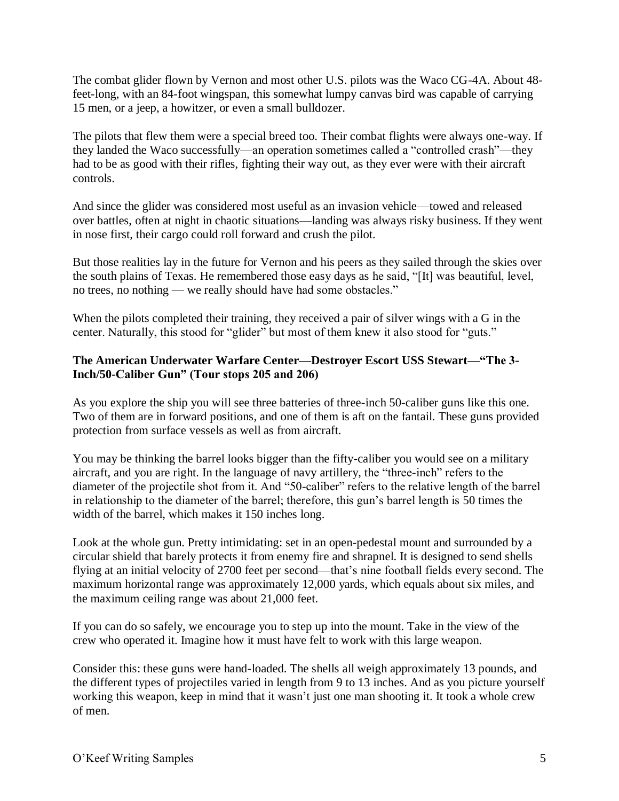The combat glider flown by Vernon and most other U.S. pilots was the Waco CG-4A. About 48 feet-long, with an 84-foot wingspan, this somewhat lumpy canvas bird was capable of carrying 15 men, or a jeep, a howitzer, or even a small bulldozer.

The pilots that flew them were a special breed too. Their combat flights were always one-way. If they landed the Waco successfully—an operation sometimes called a "controlled crash"—they had to be as good with their rifles, fighting their way out, as they ever were with their aircraft controls.

And since the glider was considered most useful as an invasion vehicle—towed and released over battles, often at night in chaotic situations—landing was always risky business. If they went in nose first, their cargo could roll forward and crush the pilot.

But those realities lay in the future for Vernon and his peers as they sailed through the skies over the south plains of Texas. He remembered those easy days as he said, "[It] was beautiful, level, no trees, no nothing — we really should have had some obstacles."

When the pilots completed their training, they received a pair of silver wings with a G in the center. Naturally, this stood for "glider" but most of them knew it also stood for "guts."

## **The American Underwater Warfare Center—Destroyer Escort USS Stewart—"The 3- Inch/50-Caliber Gun" (Tour stops 205 and 206)**

As you explore the ship you will see three batteries of three-inch 50-caliber guns like this one. Two of them are in forward positions, and one of them is aft on the fantail. These guns provided protection from surface vessels as well as from aircraft.

You may be thinking the barrel looks bigger than the fifty-caliber you would see on a military aircraft, and you are right. In the language of navy artillery, the "three-inch" refers to the diameter of the projectile shot from it. And "50-caliber" refers to the relative length of the barrel in relationship to the diameter of the barrel; therefore, this gun's barrel length is 50 times the width of the barrel, which makes it 150 inches long.

Look at the whole gun. Pretty intimidating: set in an open-pedestal mount and surrounded by a circular shield that barely protects it from enemy fire and shrapnel. It is designed to send shells flying at an initial velocity of 2700 feet per second—that's nine football fields every second. The maximum horizontal range was approximately 12,000 yards, which equals about six miles, and the maximum ceiling range was about 21,000 feet.

If you can do so safely, we encourage you to step up into the mount. Take in the view of the crew who operated it. Imagine how it must have felt to work with this large weapon.

Consider this: these guns were hand-loaded. The shells all weigh approximately 13 pounds, and the different types of projectiles varied in length from 9 to 13 inches. And as you picture yourself working this weapon, keep in mind that it wasn't just one man shooting it. It took a whole crew of men.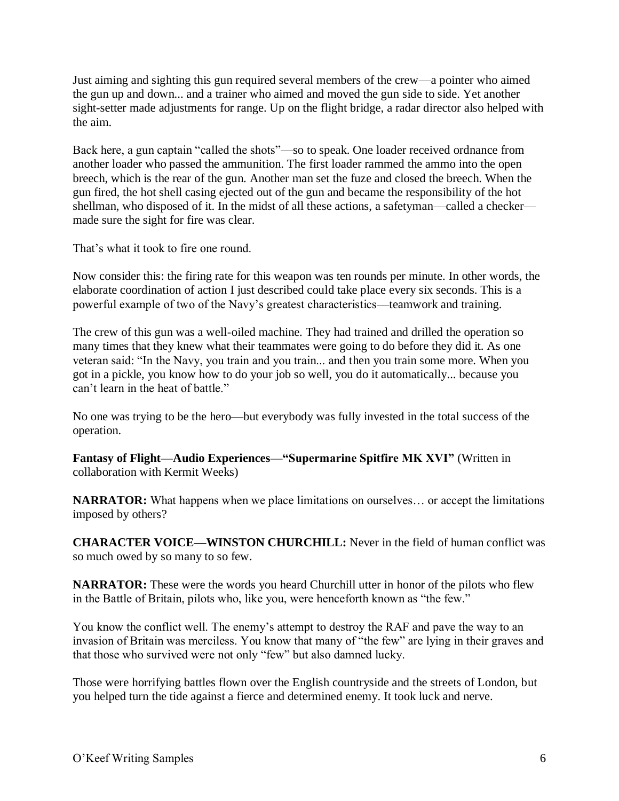Just aiming and sighting this gun required several members of the crew—a pointer who aimed the gun up and down... and a trainer who aimed and moved the gun side to side. Yet another sight-setter made adjustments for range. Up on the flight bridge, a radar director also helped with the aim.

Back here, a gun captain "called the shots"—so to speak. One loader received ordnance from another loader who passed the ammunition. The first loader rammed the ammo into the open breech, which is the rear of the gun. Another man set the fuze and closed the breech. When the gun fired, the hot shell casing ejected out of the gun and became the responsibility of the hot shellman, who disposed of it. In the midst of all these actions, a safetyman—called a checker made sure the sight for fire was clear.

That's what it took to fire one round.

Now consider this: the firing rate for this weapon was ten rounds per minute. In other words, the elaborate coordination of action I just described could take place every six seconds. This is a powerful example of two of the Navy's greatest characteristics—teamwork and training.

The crew of this gun was a well-oiled machine. They had trained and drilled the operation so many times that they knew what their teammates were going to do before they did it. As one veteran said: "In the Navy, you train and you train... and then you train some more. When you got in a pickle, you know how to do your job so well, you do it automatically... because you can't learn in the heat of battle."

No one was trying to be the hero—but everybody was fully invested in the total success of the operation.

**Fantasy of Flight—Audio Experiences—"Supermarine Spitfire MK XVI"** (Written in collaboration with Kermit Weeks)

**NARRATOR:** What happens when we place limitations on ourselves… or accept the limitations imposed by others?

**CHARACTER VOICE—WINSTON CHURCHILL:** Never in the field of human conflict was [so much owed by so many to so few.](http://en.wikipedia.org/wiki/So_much_owed_by_so_many_to_so_few)

**NARRATOR:** These were the words you heard Churchill utter in honor of the pilots who flew in the Battle of Britain, pilots who, like you, were henceforth known as "the few."

You know the conflict well. The enemy's attempt to destroy the RAF and pave the way to an invasion of Britain was merciless. You know that many of "the few" are lying in their graves and that those who survived were not only "few" but also damned lucky.

Those were horrifying battles flown over the English countryside and the streets of London, but you helped turn the tide against a fierce and determined enemy. It took luck and nerve.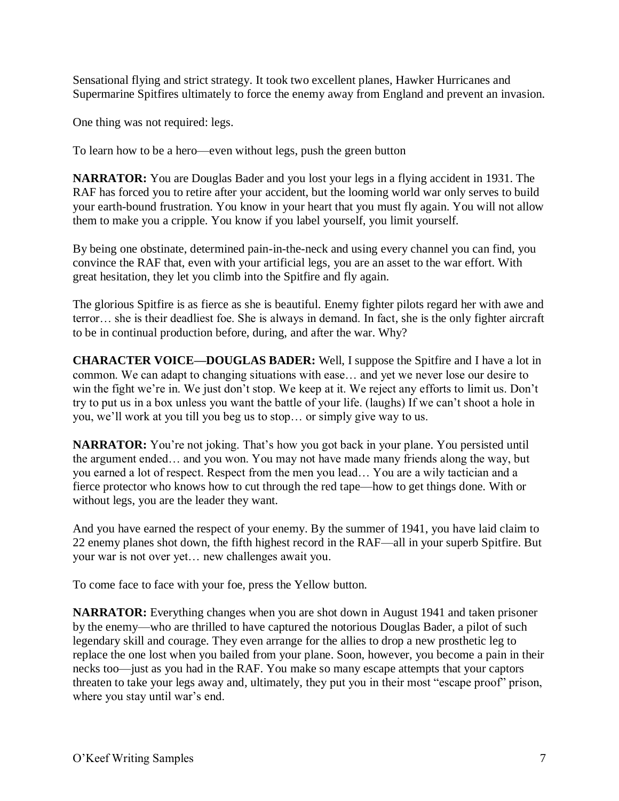Sensational flying and strict strategy. It took two excellent planes, Hawker Hurricanes and Supermarine Spitfires ultimately to force the enemy away from England and prevent an invasion.

One thing was not required: legs.

To learn how to be a hero—even without legs, push the green button

**NARRATOR:** You are Douglas Bader and you lost your legs in a flying accident in 1931. The RAF has forced you to retire after your accident, but the looming world war only serves to build your earth-bound frustration. You know in your heart that you must fly again. You will not allow them to make you a cripple. You know if you label yourself, you limit yourself.

By being one obstinate, determined pain-in-the-neck and using every channel you can find, you convince the RAF that, even with your artificial legs, you are an asset to the war effort. With great hesitation, they let you climb into the Spitfire and fly again.

The glorious Spitfire is as fierce as she is beautiful. Enemy fighter pilots regard her with awe and terror… she is their deadliest foe. She is always in demand. In fact, she is the only fighter aircraft to be in continual production before, during, and after the war. Why?

**CHARACTER VOICE—DOUGLAS BADER:** Well, I suppose the Spitfire and I have a lot in common. We can adapt to changing situations with ease… and yet we never lose our desire to win the fight we're in. We just don't stop. We keep at it. We reject any efforts to limit us. Don't try to put us in a box unless you want the battle of your life. (laughs) If we can't shoot a hole in you, we'll work at you till you beg us to stop… or simply give way to us.

**NARRATOR:** You're not joking. That's how you got back in your plane. You persisted until the argument ended… and you won. You may not have made many friends along the way, but you earned a lot of respect. Respect from the men you lead… You are a wily tactician and a fierce protector who knows how to cut through the red tape—how to get things done. With or without legs, you are the leader they want.

And you have earned the respect of your enemy. By the summer of 1941, you have laid claim to 22 enemy planes shot down, the fifth highest record in the RAF—all in your superb Spitfire. But your war is not over yet… new challenges await you.

To come face to face with your foe, press the Yellow button.

**NARRATOR:** Everything changes when you are shot down in August 1941 and taken prisoner by the enemy—who are thrilled to have captured the notorious Douglas Bader, a pilot of such legendary skill and courage. They even arrange for the allies to drop a new prosthetic leg to replace the one lost when you bailed from your plane. Soon, however, you become a pain in their necks too—just as you had in the RAF. You make so many escape attempts that your captors threaten to take your legs away and, ultimately, they put you in their most "escape proof" prison, where you stay until war's end.